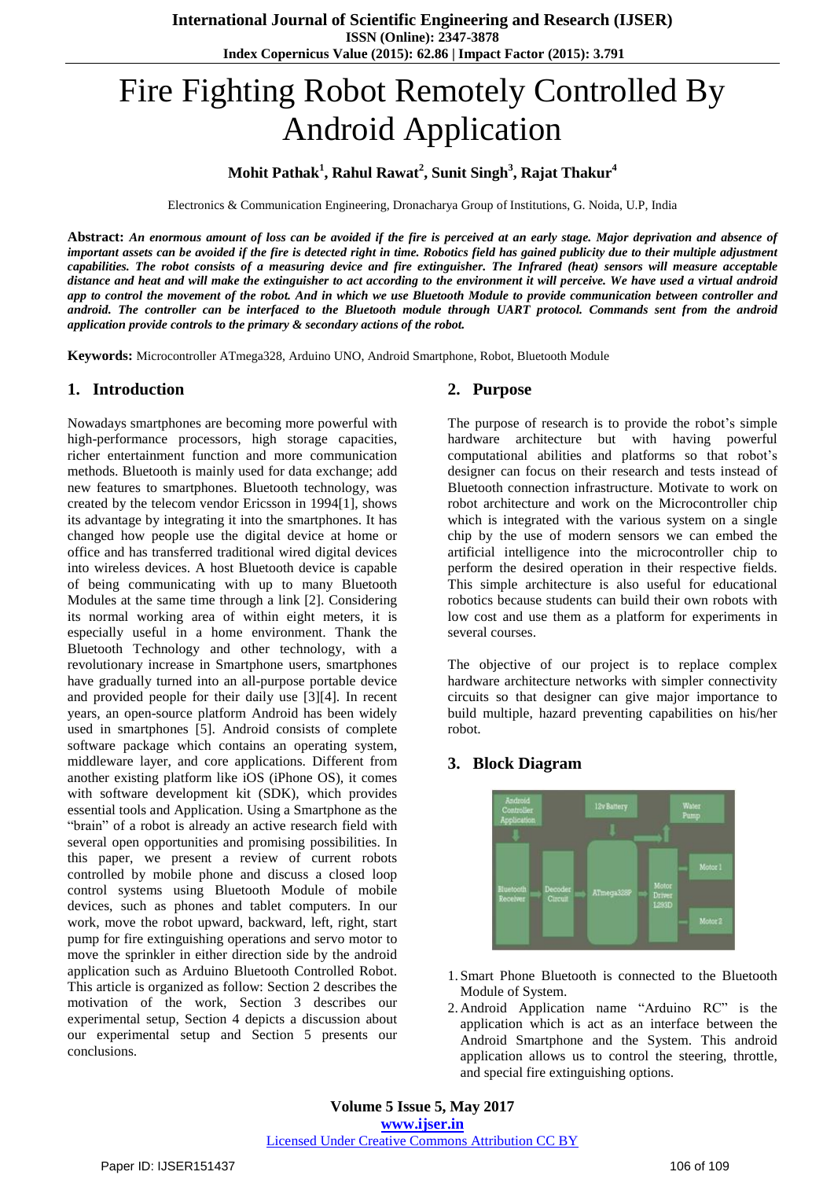# Fire Fighting Robot Remotely Controlled By Android Application

# **Mohit Pathak<sup>1</sup> , Rahul Rawat<sup>2</sup> , Sunit Singh<sup>3</sup> , Rajat Thakur<sup>4</sup>**

Electronics & Communication Engineering, Dronacharya Group of Institutions, G. Noida, U.P, India

Abstract: An enormous amount of loss can be avoided if the fire is perceived at an early stage. Major deprivation and absence of important assets can be avoided if the fire is detected right in time. Robotics field has gained publicity due to their multiple adjustment capabilities. The robot consists of a measuring device and fire extinguisher. The Infrared (heat) sensors will measure acceptable distance and heat and will make the extinguisher to act according to the environment it will perceive. We have used a virtual android app to control the movement of the robot. And in which we use Bluetooth Module to provide communication between controller and android. The controller can be interfaced to the Bluetooth module through UART protocol. Commands sent from the android *application provide controls to the primary & secondary actions of the robot.*

**Keywords:** Microcontroller ATmega328, Arduino UNO, Android Smartphone, Robot, Bluetooth Module

## **1. Introduction**

Nowadays smartphones are becoming more powerful with high-performance processors, high storage capacities, richer entertainment function and more communication methods. Bluetooth is mainly used for data exchange; add new features to smartphones. Bluetooth technology, was created by the telecom vendor Ericsson in 1994[1], shows its advantage by integrating it into the smartphones. It has changed how people use the digital device at home or office and has transferred traditional wired digital devices into wireless devices. A host Bluetooth device is capable of being communicating with up to many Bluetooth Modules at the same time through a link [2]. Considering its normal working area of within eight meters, it is especially useful in a home environment. Thank the Bluetooth Technology and other technology, with a revolutionary increase in Smartphone users, smartphones have gradually turned into an all-purpose portable device and provided people for their daily use [3][4]. In recent years, an open-source platform Android has been widely used in smartphones [5]. Android consists of complete software package which contains an operating system, middleware layer, and core applications. Different from another existing platform like iOS (iPhone OS), it comes with software development kit (SDK), which provides essential tools and Application. Using a Smartphone as the "brain" of a robot is already an active research field with several open opportunities and promising possibilities. In this paper, we present a review of current robots controlled by mobile phone and discuss a closed loop control systems using Bluetooth Module of mobile devices, such as phones and tablet computers. In our work, move the robot upward, backward, left, right, start pump for fire extinguishing operations and servo motor to move the sprinkler in either direction side by the android application such as Arduino Bluetooth Controlled Robot. This article is organized as follow: Section 2 describes the motivation of the work, Section 3 describes our experimental setup, Section 4 depicts a discussion about our experimental setup and Section 5 presents our conclusions.

## **2. Purpose**

The purpose of research is to provide the robot's simple hardware architecture but with having powerful computational abilities and platforms so that robot's designer can focus on their research and tests instead of Bluetooth connection infrastructure. Motivate to work on robot architecture and work on the Microcontroller chip which is integrated with the various system on a single chip by the use of modern sensors we can embed the artificial intelligence into the microcontroller chip to perform the desired operation in their respective fields. This simple architecture is also useful for educational robotics because students can build their own robots with low cost and use them as a platform for experiments in several courses.

The objective of our project is to replace complex hardware architecture networks with simpler connectivity circuits so that designer can give major importance to build multiple, hazard preventing capabilities on his/her robot.

# **3. Block Diagram**



- 1. Smart Phone Bluetooth is connected to the Bluetooth Module of System.
- 2. Android Application name "Arduino RC" is the application which is act as an interface between the Android Smartphone and the System. This android application allows us to control the steering, throttle, and special fire extinguishing options.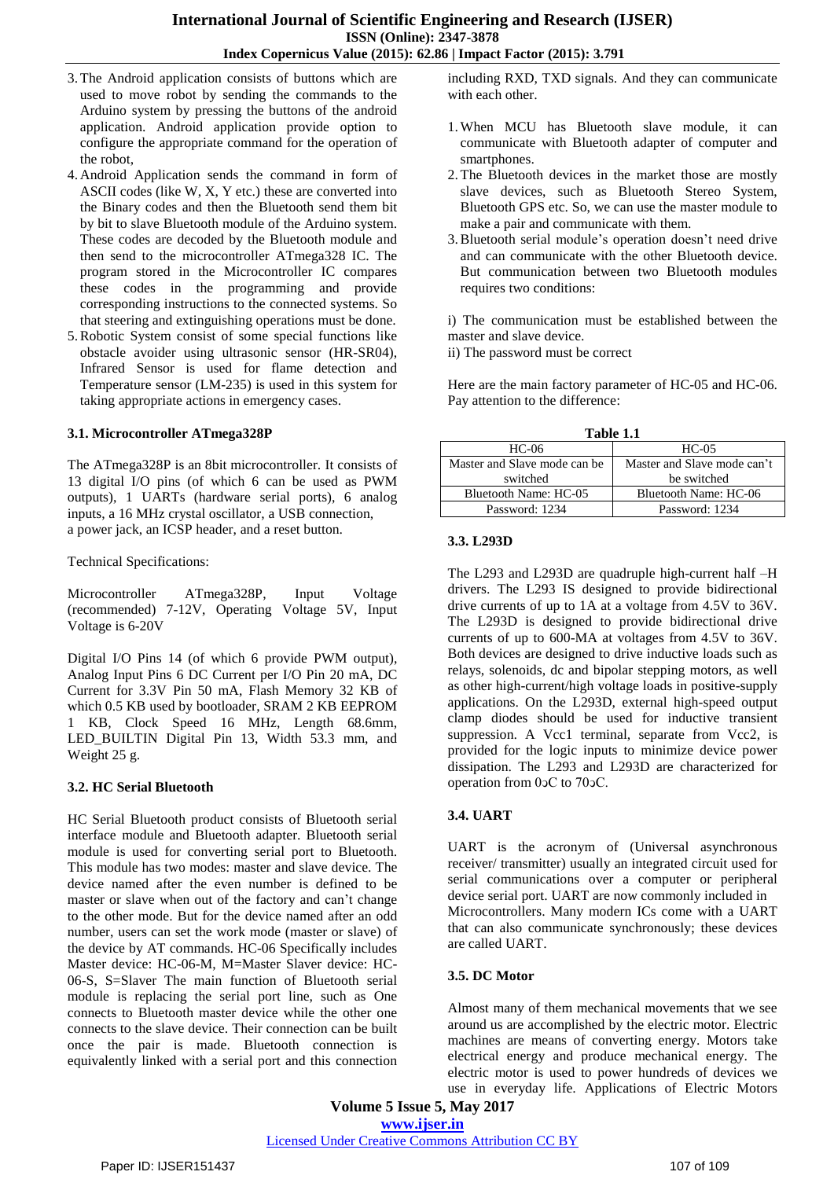- 3.The Android application consists of buttons which are used to move robot by sending the commands to the Arduino system by pressing the buttons of the android application. Android application provide option to configure the appropriate command for the operation of the robot,
- 4. Android Application sends the command in form of ASCII codes (like W, X, Y etc.) these are converted into the Binary codes and then the Bluetooth send them bit by bit to slave Bluetooth module of the Arduino system. These codes are decoded by the Bluetooth module and then send to the microcontroller ATmega328 IC. The program stored in the Microcontroller IC compares these codes in the programming and provide corresponding instructions to the connected systems. So that steering and extinguishing operations must be done.
- 5.Robotic System consist of some special functions like obstacle avoider using ultrasonic sensor (HR-SR04), Infrared Sensor is used for flame detection and Temperature sensor (LM-235) is used in this system for taking appropriate actions in emergency cases.

#### **3.1. Microcontroller ATmega328P**

The ATmega328P is an 8bit microcontroller. It consists of 13 digital I/O pins (of which 6 can be used as PWM outputs), 1 UARTs (hardware serial ports), 6 analog inputs, a 16 MHz crystal oscillator, a USB connection, a power jack, an ICSP header, and a reset button.

Technical Specifications:

Microcontroller ATmega328P, Input Voltage (recommended) 7-12V, Operating Voltage 5V, Input Voltage is 6-20V

Digital I/O Pins 14 (of which 6 provide PWM output), Analog Input Pins 6 DC Current per I/O Pin 20 mA, DC Current for 3.3V Pin 50 mA, Flash Memory 32 KB of which 0.5 KB used by bootloader, SRAM 2 KB EEPROM 1 KB, Clock Speed 16 MHz, Length 68.6mm, LED\_BUILTIN Digital Pin 13, Width 53.3 mm, and Weight 25 g.

## **3.2. HC Serial Bluetooth**

HC Serial Bluetooth product consists of Bluetooth serial interface module and Bluetooth adapter. Bluetooth serial module is used for converting serial port to Bluetooth. This module has two modes: master and slave device. The device named after the even number is defined to be master or slave when out of the factory and can't change to the other mode. But for the device named after an odd number, users can set the work mode (master or slave) of the device by AT commands. HC-06 Specifically includes Master device: HC-06-M, M=Master Slaver device: HC-06-S, S=Slaver The main function of Bluetooth serial module is replacing the serial port line, such as One connects to Bluetooth master device while the other one connects to the slave device. Their connection can be built once the pair is made. Bluetooth connection is equivalently linked with a serial port and this connection

including RXD, TXD signals. And they can communicate with each other.

- 1.When MCU has Bluetooth slave module, it can communicate with Bluetooth adapter of computer and smartphones.
- 2.The Bluetooth devices in the market those are mostly slave devices, such as Bluetooth Stereo System, Bluetooth GPS etc. So, we can use the master module to make a pair and communicate with them.
- 3.Bluetooth serial module's operation doesn't need drive and can communicate with the other Bluetooth device. But communication between two Bluetooth modules requires two conditions:

i) The communication must be established between the master and slave device.

ii) The password must be correct

Here are the main factory parameter of HC-05 and HC-06. Pay attention to the difference:

| Table 1.1                    |                             |
|------------------------------|-----------------------------|
| HC-06                        | $HC-05$                     |
| Master and Slave mode can be | Master and Slave mode can't |
| switched                     | be switched                 |
| Bluetooth Name: HC-05        | Bluetooth Name: HC-06       |
| Password: 1234               | Password: 1234              |

## **3.3. L293D**

The L293 and L293D are quadruple high-current half –H drivers. The L293 IS designed to provide bidirectional drive currents of up to 1A at a voltage from 4.5V to 36V. The L293D is designed to provide bidirectional drive currents of up to 600-MA at voltages from 4.5V to 36V. Both devices are designed to drive inductive loads such as relays, solenoids, dc and bipolar stepping motors, as well as other high-current/high voltage loads in positive-supply applications. On the L293D, external high-speed output clamp diodes should be used for inductive transient suppression. A Vcc1 terminal, separate from Vcc2, is provided for the logic inputs to minimize device power dissipation. The L293 and L293D are characterized for operation from 0ↄC to 70ↄC.

## **3.4. UART**

UART is the acronym of (Universal asynchronous receiver/ transmitter) usually an integrated circuit used for serial communications over a computer or peripheral device serial port. UART are now commonly included in Microcontrollers. Many modern ICs come with a UART that can also communicate synchronously; these devices are called UART.

## **3.5. DC Motor**

Almost many of them mechanical movements that we see around us are accomplished by the electric motor. Electric machines are means of converting energy. Motors take electrical energy and produce mechanical energy. The electric motor is used to power hundreds of devices we use in everyday life. Applications of Electric Motors

**Volume 5 Issue 5, May 2017 www.ijser.in**

Licensed Under Creative Commons Attribution CC BY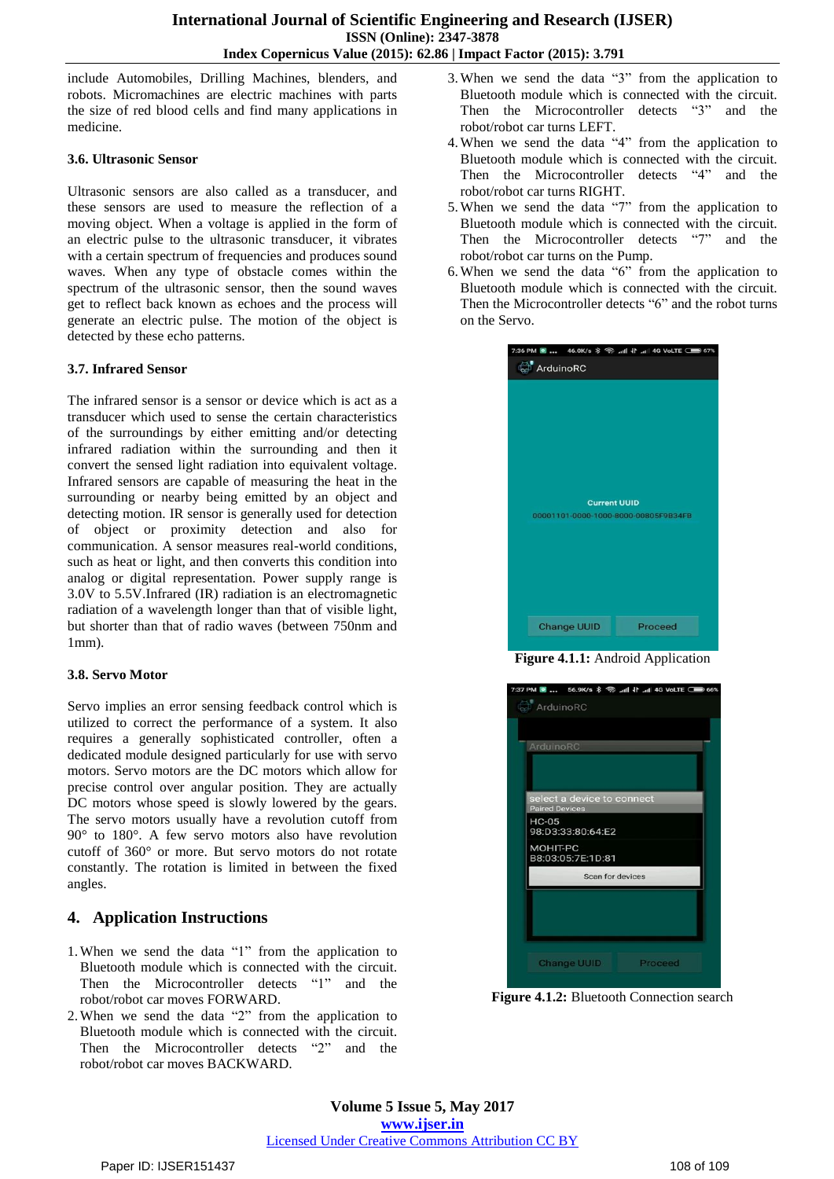include Automobiles, Drilling Machines, blenders, and robots. Micromachines are electric machines with parts the size of red blood cells and find many applications in medicine.

## **3.6. Ultrasonic Sensor**

Ultrasonic sensors are also called as a transducer, and these sensors are used to measure the reflection of a moving object. When a voltage is applied in the form of an electric pulse to the ultrasonic transducer, it vibrates with a certain spectrum of frequencies and produces sound waves. When any type of obstacle comes within the spectrum of the ultrasonic sensor, then the sound waves get to reflect back known as echoes and the process will generate an electric pulse. The motion of the object is detected by these echo patterns.

## **3.7. Infrared Sensor**

The infrared sensor is a sensor or device which is act as a transducer which used to sense the certain characteristics of the surroundings by either emitting and/or detecting infrared radiation within the surrounding and then it convert the sensed light radiation into equivalent voltage. Infrared sensors are capable of measuring the heat in the surrounding or nearby being emitted by an object and detecting motion. IR sensor is generally used for detection of object or proximity detection and also for communication. A sensor measures real-world conditions, such as heat or light, and then converts this condition into analog or digital representation. Power supply range is 3.0V to 5.5V.Infrared (IR) radiation is an electromagnetic radiation of a wavelength longer than that of visible light, but shorter than that of radio waves (between 750nm and 1mm).

## **3.8. Servo Motor**

Servo implies an error sensing feedback control which is utilized to correct the performance of a system. It also requires a generally sophisticated controller, often a dedicated module designed particularly for use with servo motors. Servo motors are the DC motors which allow for precise control over angular position. They are actually DC motors whose speed is slowly lowered by the gears. The servo motors usually have a revolution cutoff from 90° to 180°. A few servo motors also have revolution cutoff of 360° or more. But servo motors do not rotate constantly. The rotation is limited in between the fixed angles.

# **4. Application Instructions**

- 1.When we send the data "1" from the application to Bluetooth module which is connected with the circuit. Then the Microcontroller detects "1" and the robot/robot car moves FORWARD.
- 2.When we send the data "2" from the application to Bluetooth module which is connected with the circuit. Then the Microcontroller detects "2" and the robot/robot car moves BACKWARD.
- 3.When we send the data "3" from the application to Bluetooth module which is connected with the circuit. Then the Microcontroller detects "3" and the robot/robot car turns LEFT.
- 4.When we send the data "4" from the application to Bluetooth module which is connected with the circuit. Then the Microcontroller detects "4" and the robot/robot car turns RIGHT.
- 5.When we send the data "7" from the application to Bluetooth module which is connected with the circuit. Then the Microcontroller detects "7" and the robot/robot car turns on the Pump.
- 6.When we send the data "6" from the application to Bluetooth module which is connected with the circuit. Then the Microcontroller detects "6" and the robot turns on the Servo.

| 7:36 PM ■  46.0K/s * → .dl + .dl 4G VoLTE ● 67% |         |
|-------------------------------------------------|---------|
| ArduinoRC                                       |         |
|                                                 |         |
|                                                 |         |
|                                                 |         |
|                                                 |         |
|                                                 |         |
|                                                 |         |
|                                                 |         |
|                                                 |         |
| <b>Current UUID</b>                             |         |
| 00001101-0000-1000-8000-00805F9B34FB            |         |
|                                                 |         |
|                                                 |         |
|                                                 |         |
|                                                 |         |
| <b>Change UUID</b>                              | Proceed |

**Figure 4.1.1:** Android Application



**Figure 4.1.2:** Bluetooth Connection search